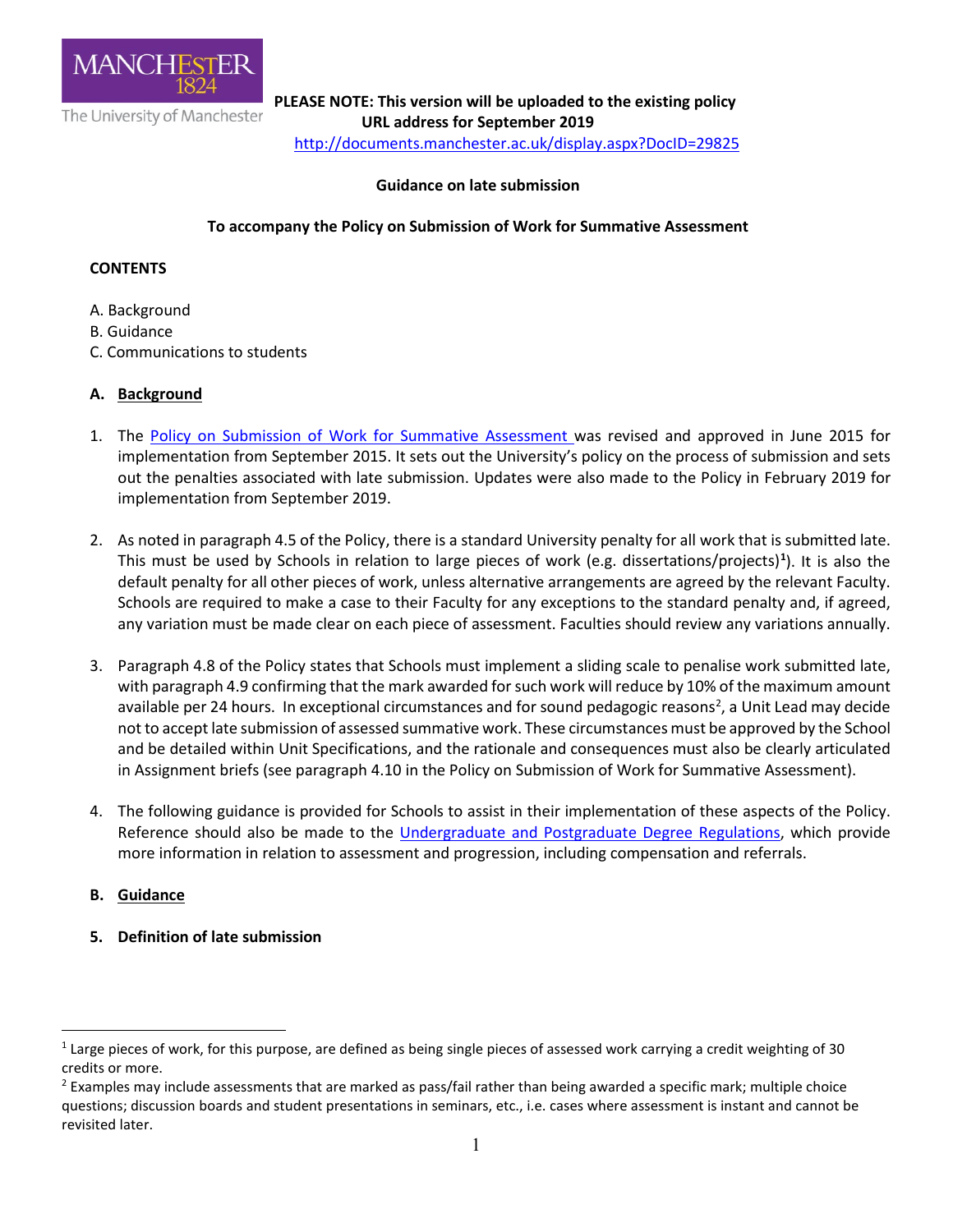

**PLEASE NOTE: This version will be uploaded to the existing policy**<br>The University of Manchester<br>**LIPL address for Sentember 2019 URL address for September 2019**  <http://documents.manchester.ac.uk/display.aspx?DocID=29825>

## **Guidance on late submission**

# **To accompany the Policy on Submission of Work for Summative Assessment**

# **CONTENTS**

- A. Background
- B. Guidance
- C. Communications to students

# **A. Background**

- 1. The [Policy on Submission of Work for Summative Assessment w](http://documents.manchester.ac.uk/display.aspx?DocID=24561)as revised and approved in June 2015 for implementation from September 2015. It sets out the University's policy on the process of submission and sets out the penalties associated with late submission. Updates were also made to the Policy in February 2019 for implementation from September 2019.
- 2. As noted in paragraph 4.5 of the Policy, there is a standard University penalty for all work that is submitted late. This must be used by Schools in relation to large pieces of work (e.g. dissertations/projects)**[1](#page-0-0)** ). It is also the default penalty for all other pieces of work, unless alternative arrangements are agreed by the relevant Faculty. Schools are required to make a case to their Faculty for any exceptions to the standard penalty and, if agreed, any variation must be made clear on each piece of assessment. Faculties should review any variations annually.
- 3. Paragraph 4.8 of the Policy states that Schools must implement a sliding scale to penalise work submitted late, with paragraph 4.9 confirming that the mark awarded for such work will reduce by 10% of the maximum amount available per [2](#page-0-1)4 hours. In exceptional circumstances and for sound pedagogic reasons<sup>2</sup>, a Unit Lead may decide not to accept late submission of assessed summative work. These circumstances must be approved by the School and be detailed within Unit Specifications, and the rationale and consequences must also be clearly articulated in Assignment briefs (see paragraph 4.10 in the Policy on Submission of Work for Summative Assessment).
- 4. The following guidance is provided for Schools to assist in their implementation of these aspects of the Policy. Reference should also be made to the *Undergraduate and Postgraduate Degree Regulations*, which provide more information in relation to assessment and progression, including compensation and referrals.
- **B. Guidance**

<u>.</u>

**5. Definition of late submission**

<span id="page-0-0"></span> $1$  Large pieces of work, for this purpose, are defined as being single pieces of assessed work carrying a credit weighting of 30 credits or more.

<span id="page-0-1"></span> $<sup>2</sup>$  Examples may include assessments that are marked as pass/fail rather than being awarded a specific mark; multiple choice</sup> questions; discussion boards and student presentations in seminars, etc., i.e. cases where assessment is instant and cannot be revisited later.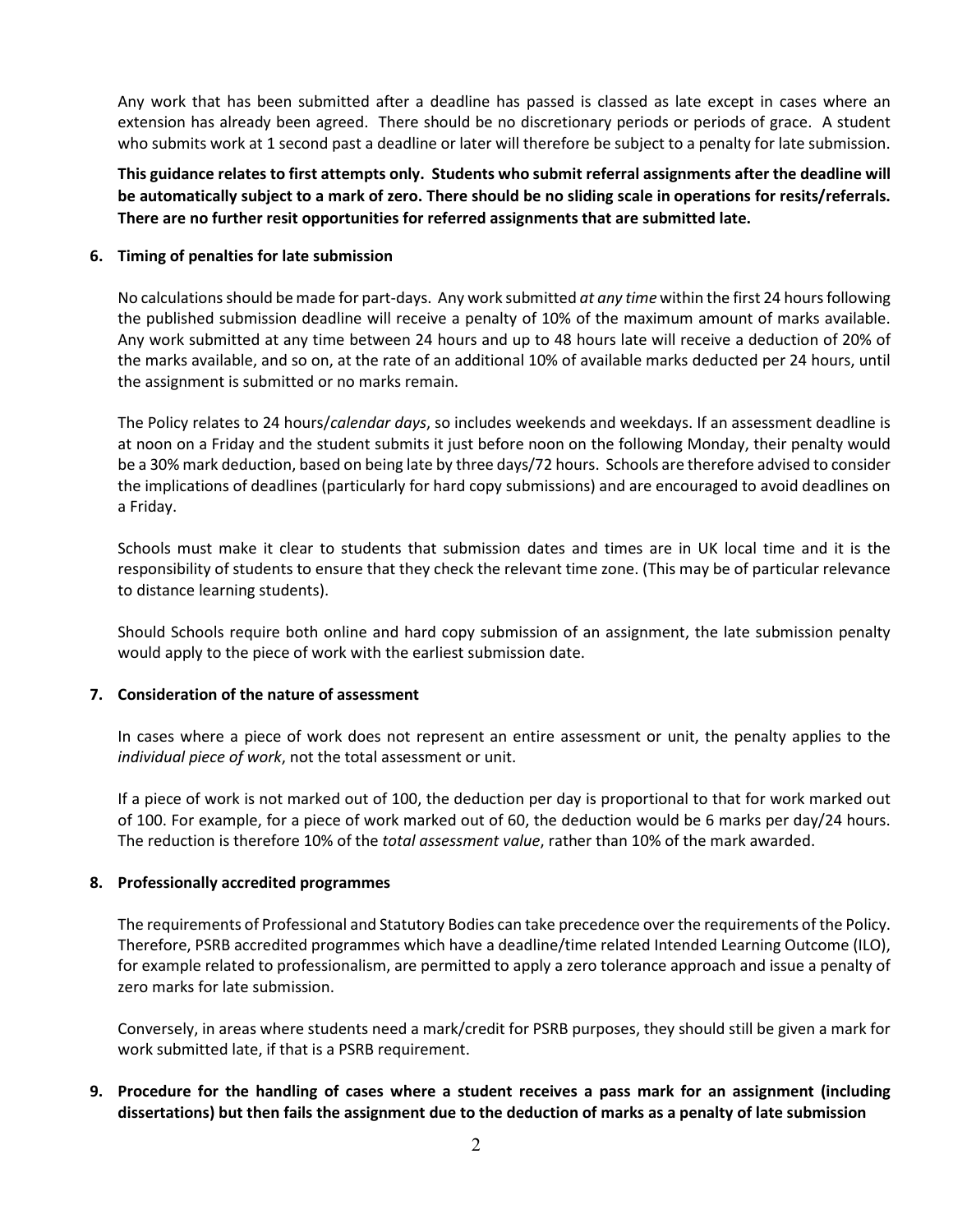Any work that has been submitted after a deadline has passed is classed as late except in cases where an extension has already been agreed. There should be no discretionary periods or periods of grace. A student who submits work at 1 second past a deadline or later will therefore be subject to a penalty for late submission.

**This guidance relates to first attempts only. Students who submit referral assignments after the deadline will be automatically subject to a mark of zero. There should be no sliding scale in operations for resits/referrals. There are no further resit opportunities for referred assignments that are submitted late.**

### **6. Timing of penalties for late submission**

No calculations should be made for part-days. Any work submitted *at any time* within the first 24 hours following the published submission deadline will receive a penalty of 10% of the maximum amount of marks available. Any work submitted at any time between 24 hours and up to 48 hours late will receive a deduction of 20% of the marks available, and so on, at the rate of an additional 10% of available marks deducted per 24 hours, until the assignment is submitted or no marks remain.

The Policy relates to 24 hours/*calendar days*, so includes weekends and weekdays. If an assessment deadline is at noon on a Friday and the student submits it just before noon on the following Monday, their penalty would be a 30% mark deduction, based on being late by three days/72 hours. Schools are therefore advised to consider the implications of deadlines (particularly for hard copy submissions) and are encouraged to avoid deadlines on a Friday.

Schools must make it clear to students that submission dates and times are in UK local time and it is the responsibility of students to ensure that they check the relevant time zone. (This may be of particular relevance to distance learning students).

Should Schools require both online and hard copy submission of an assignment, the late submission penalty would apply to the piece of work with the earliest submission date.

#### **7. Consideration of the nature of assessment**

In cases where a piece of work does not represent an entire assessment or unit, the penalty applies to the *individual piece of work*, not the total assessment or unit.

If a piece of work is not marked out of 100, the deduction per day is proportional to that for work marked out of 100. For example, for a piece of work marked out of 60, the deduction would be 6 marks per day/24 hours. The reduction is therefore 10% of the *total assessment value*, rather than 10% of the mark awarded.

#### **8. Professionally accredited programmes**

The requirements of Professional and Statutory Bodies can take precedence over the requirements of the Policy. Therefore, PSRB accredited programmes which have a deadline/time related Intended Learning Outcome (ILO), for example related to professionalism, are permitted to apply a zero tolerance approach and issue a penalty of zero marks for late submission.

Conversely, in areas where students need a mark/credit for PSRB purposes, they should still be given a mark for work submitted late, if that is a PSRB requirement.

**9. Procedure for the handling of cases where a student receives a pass mark for an assignment (including dissertations) but then fails the assignment due to the deduction of marks as a penalty of late submission**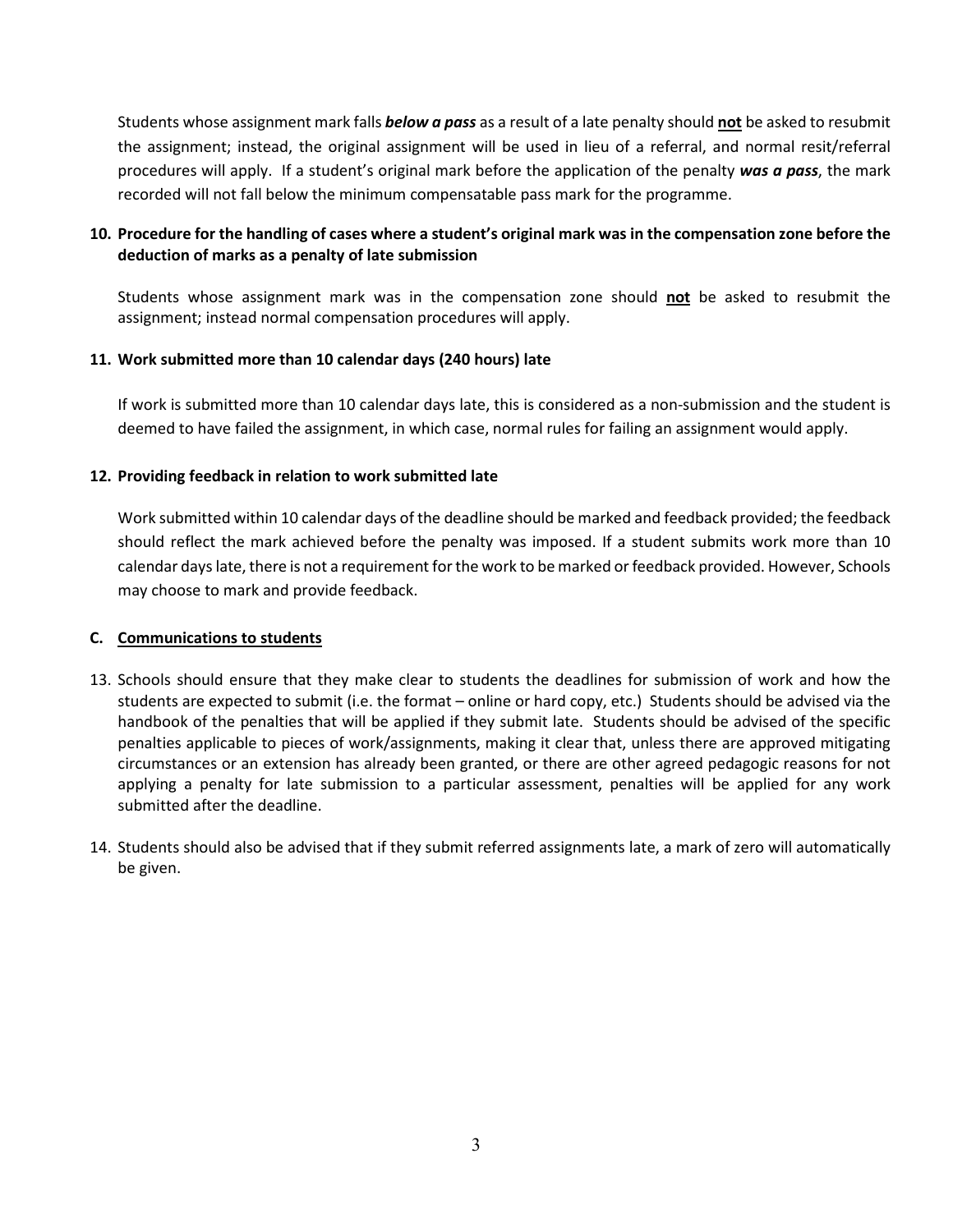Students whose assignment mark falls *below a pass* as a result of a late penalty should **not** be asked to resubmit the assignment; instead, the original assignment will be used in lieu of a referral, and normal resit/referral procedures will apply. If a student's original mark before the application of the penalty *was a pass*, the mark recorded will not fall below the minimum compensatable pass mark for the programme.

# **10. Procedure for the handling of cases where a student's original mark was in the compensation zone before the deduction of marks as a penalty of late submission**

Students whose assignment mark was in the compensation zone should **not** be asked to resubmit the assignment; instead normal compensation procedures will apply.

## **11. Work submitted more than 10 calendar days (240 hours) late**

If work is submitted more than 10 calendar days late, this is considered as a non-submission and the student is deemed to have failed the assignment, in which case, normal rules for failing an assignment would apply.

## **12. Providing feedback in relation to work submitted late**

Work submitted within 10 calendar days of the deadline should be marked and feedback provided; the feedback should reflect the mark achieved before the penalty was imposed. If a student submits work more than 10 calendar days late, there is not a requirement for the work to be marked or feedback provided. However, Schools may choose to mark and provide feedback.

## **C. Communications to students**

- 13. Schools should ensure that they make clear to students the deadlines for submission of work and how the students are expected to submit (i.e. the format – online or hard copy, etc.) Students should be advised via the handbook of the penalties that will be applied if they submit late. Students should be advised of the specific penalties applicable to pieces of work/assignments, making it clear that, unless there are approved mitigating circumstances or an extension has already been granted, or there are other agreed pedagogic reasons for not applying a penalty for late submission to a particular assessment, penalties will be applied for any work submitted after the deadline.
- 14. Students should also be advised that if they submit referred assignments late, a mark of zero will automatically be given.